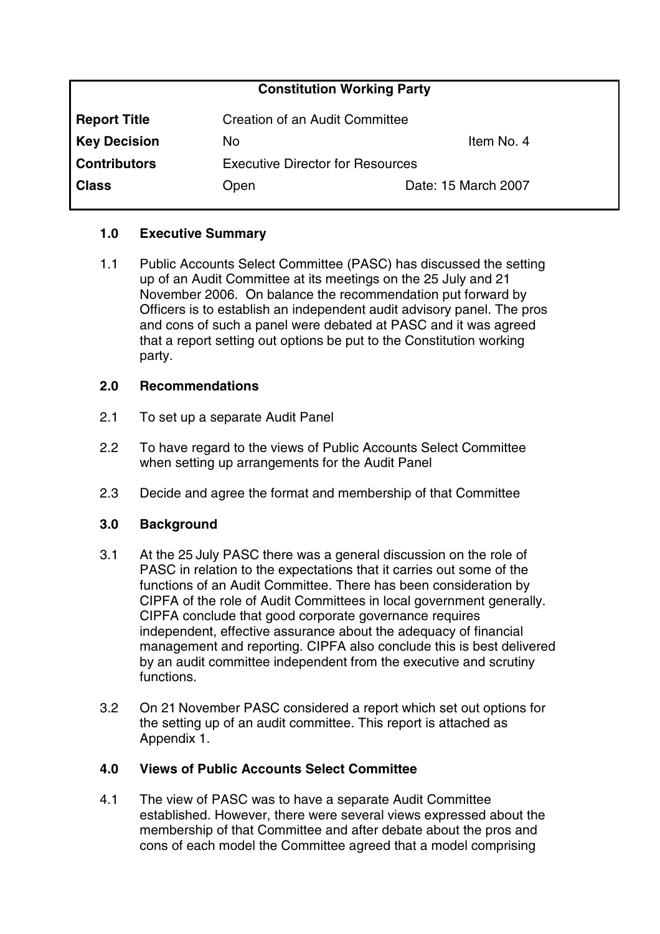| <b>Constitution Working Party</b> |                                         |                     |
|-----------------------------------|-----------------------------------------|---------------------|
| <b>Report Title</b>               | Creation of an Audit Committee          |                     |
| <b>Key Decision</b>               | No                                      | Item No. 4          |
| <b>Contributors</b>               | <b>Executive Director for Resources</b> |                     |
| <b>Class</b>                      | Open                                    | Date: 15 March 2007 |

## **1.0 Executive Summary**

1.1 Public Accounts Select Committee (PASC) has discussed the setting up of an Audit Committee at its meetings on the 25 July and 21 November 2006. On balance the recommendation put forward by Officers is to establish an independent audit advisory panel. The pros and cons of such a panel were debated at PASC and it was agreed that a report setting out options be put to the Constitution working party.

#### **2.0 Recommendations**

- 2.1 To set up a separate Audit Panel
- 2.2 To have regard to the views of Public Accounts Select Committee when setting up arrangements for the Audit Panel
- 2.3 Decide and agree the format and membership of that Committee

# **3.0 Background**

- 3.1 At the 25 July PASC there was a general discussion on the role of PASC in relation to the expectations that it carries out some of the functions of an Audit Committee. There has been consideration by CIPFA of the role of Audit Committees in local government generally. CIPFA conclude that good corporate governance requires independent, effective assurance about the adequacy of financial management and reporting. CIPFA also conclude this is best delivered by an audit committee independent from the executive and scrutiny functions.
- 3.2 On 21 November PASC considered a report which set out options for the setting up of an audit committee. This report is attached as Appendix 1.

#### **4.0 Views of Public Accounts Select Committee**

4.1 The view of PASC was to have a separate Audit Committee established. However, there were several views expressed about the membership of that Committee and after debate about the pros and cons of each model the Committee agreed that a model comprising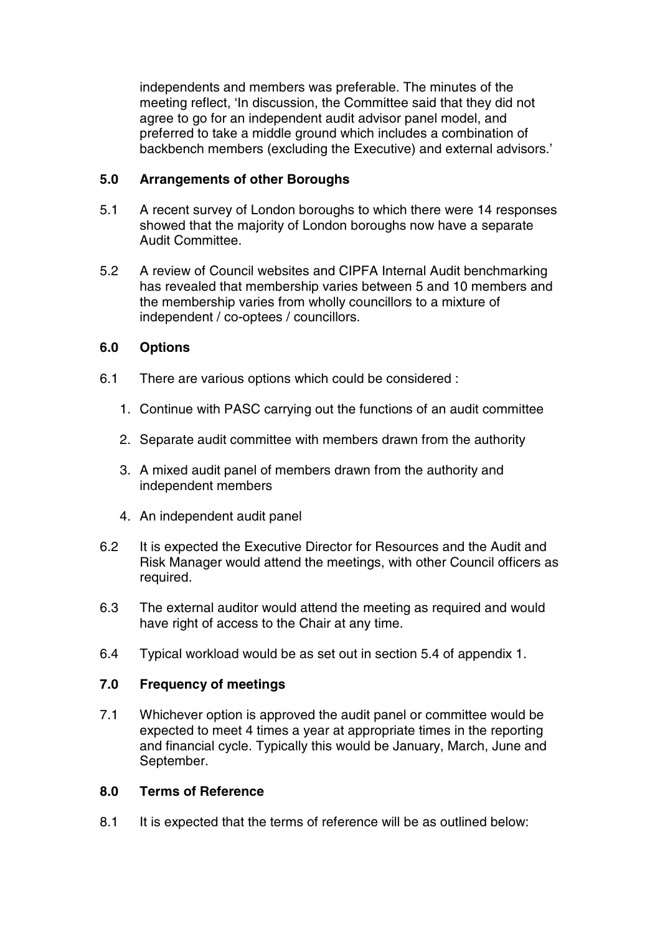independents and members was preferable. The minutes of the meeting reflect, 'In discussion, the Committee said that they did not agree to go for an independent audit advisor panel model, and preferred to take a middle ground which includes a combination of backbench members (excluding the Executive) and external advisors.'

## **5.0 Arrangements of other Boroughs**

- 5.1 A recent survey of London boroughs to which there were 14 responses showed that the majority of London boroughs now have a separate Audit Committee.
- 5.2 A review of Council websites and CIPFA Internal Audit benchmarking has revealed that membership varies between 5 and 10 members and the membership varies from wholly councillors to a mixture of independent / co-optees / councillors.

# **6.0 Options**

- 6.1 There are various options which could be considered :
	- 1. Continue with PASC carrying out the functions of an audit committee
	- 2. Separate audit committee with members drawn from the authority
	- 3. A mixed audit panel of members drawn from the authority and independent members
	- 4. An independent audit panel
- 6.2 It is expected the Executive Director for Resources and the Audit and Risk Manager would attend the meetings, with other Council officers as required.
- 6.3 The external auditor would attend the meeting as required and would have right of access to the Chair at any time.
- 6.4 Typical workload would be as set out in section 5.4 of appendix 1.

# **7.0 Frequency of meetings**

7.1 Whichever option is approved the audit panel or committee would be expected to meet 4 times a year at appropriate times in the reporting and financial cycle. Typically this would be January, March, June and September.

# **8.0 Terms of Reference**

8.1 It is expected that the terms of reference will be as outlined below: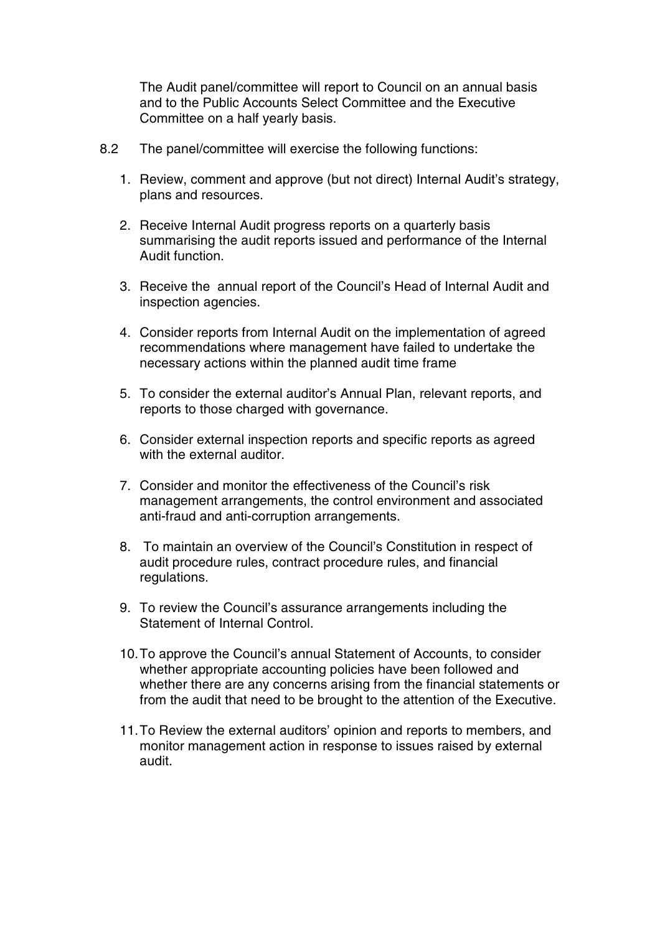The Audit panel/committee will report to Council on an annual basis and to the Public Accounts Select Committee and the Executive Committee on a half yearly basis.

- 8.2 The panel/committee will exercise the following functions:
	- 1. Review, comment and approve (but not direct) Internal Audit's strategy, plans and resources.
	- 2. Receive Internal Audit progress reports on a quarterly basis summarising the audit reports issued and performance of the Internal Audit function.
	- 3. Receive the annual report of the Council's Head of Internal Audit and inspection agencies.
	- 4. Consider reports from Internal Audit on the implementation of agreed recommendations where management have failed to undertake the necessary actions within the planned audit time frame
	- 5. To consider the external auditor's Annual Plan, relevant reports, and reports to those charged with governance.
	- 6. Consider external inspection reports and specific reports as agreed with the external auditor.
	- 7. Consider and monitor the effectiveness of the Council's risk management arrangements, the control environment and associated anti-fraud and anti-corruption arrangements.
	- 8. To maintain an overview of the Council's Constitution in respect of audit procedure rules, contract procedure rules, and financial regulations.
	- 9. To review the Council's assurance arrangements including the Statement of Internal Control.
	- 10.To approve the Council's annual Statement of Accounts, to consider whether appropriate accounting policies have been followed and whether there are any concerns arising from the financial statements or from the audit that need to be brought to the attention of the Executive.
	- 11.To Review the external auditors' opinion and reports to members, and monitor management action in response to issues raised by external audit.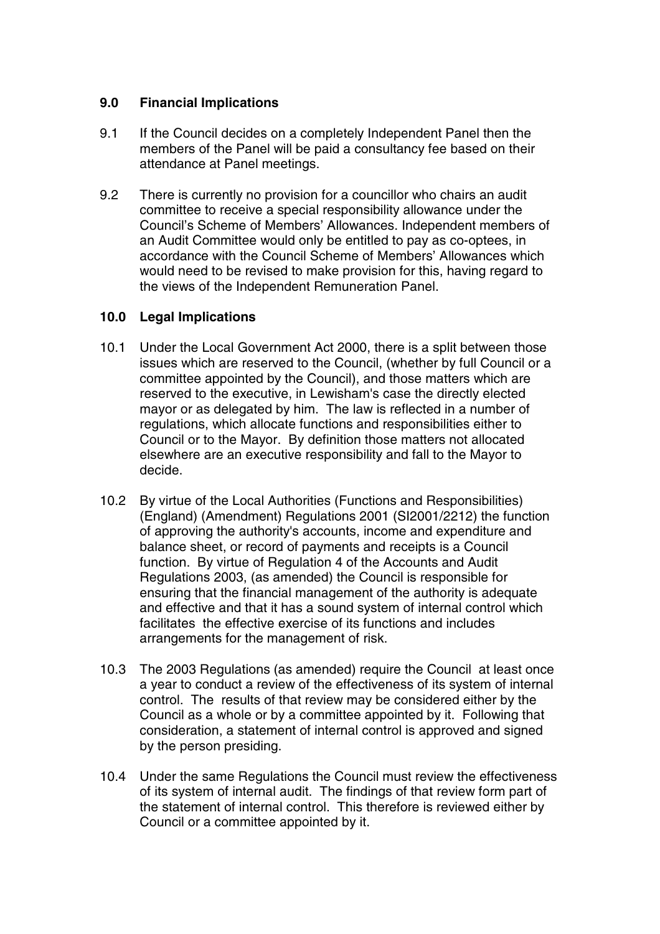#### **9.0 Financial Implications**

- 9.1 If the Council decides on a completely Independent Panel then the members of the Panel will be paid a consultancy fee based on their attendance at Panel meetings.
- 9.2 There is currently no provision for a councillor who chairs an audit committee to receive a special responsibility allowance under the Council's Scheme of Members' Allowances. Independent members of an Audit Committee would only be entitled to pay as co-optees, in accordance with the Council Scheme of Members' Allowances which would need to be revised to make provision for this, having regard to the views of the Independent Remuneration Panel.

#### **10.0 Legal Implications**

- 10.1 Under the Local Government Act 2000, there is a split between those issues which are reserved to the Council, (whether by full Council or a committee appointed by the Council), and those matters which are reserved to the executive, in Lewisham's case the directly elected mayor or as delegated by him. The law is reflected in a number of regulations, which allocate functions and responsibilities either to Council or to the Mayor. By definition those matters not allocated elsewhere are an executive responsibility and fall to the Mayor to decide.
- 10.2 By virtue of the Local Authorities (Functions and Responsibilities) (England) (Amendment) Regulations 2001 (SI2001/2212) the function of approving the authority's accounts, income and expenditure and balance sheet, or record of payments and receipts is a Council function. By virtue of Regulation 4 of the Accounts and Audit Regulations 2003, (as amended) the Council is responsible for ensuring that the financial management of the authority is adequate and effective and that it has a sound system of internal control which facilitates the effective exercise of its functions and includes arrangements for the management of risk.
- 10.3 The 2003 Regulations (as amended) require the Council at least once a year to conduct a review of the effectiveness of its system of internal control. The results of that review may be considered either by the Council as a whole or by a committee appointed by it. Following that consideration, a statement of internal control is approved and signed by the person presiding.
- 10.4 Under the same Regulations the Council must review the effectiveness of its system of internal audit. The findings of that review form part of the statement of internal control. This therefore is reviewed either by Council or a committee appointed by it.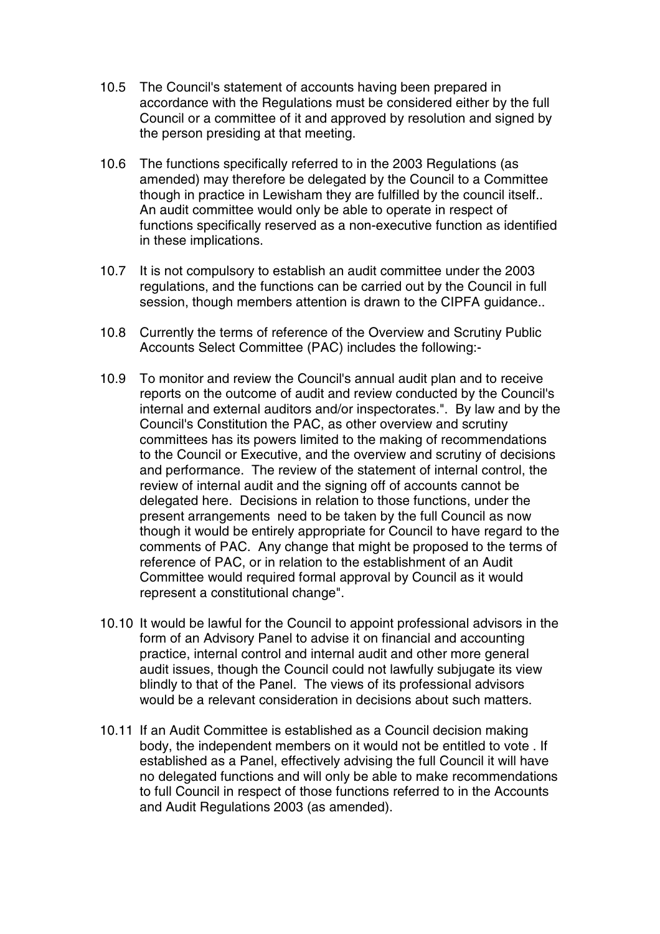- 10.5 The Council's statement of accounts having been prepared in accordance with the Regulations must be considered either by the full Council or a committee of it and approved by resolution and signed by the person presiding at that meeting.
- 10.6 The functions specifically referred to in the 2003 Regulations (as amended) may therefore be delegated by the Council to a Committee though in practice in Lewisham they are fulfilled by the council itself.. An audit committee would only be able to operate in respect of functions specifically reserved as a non-executive function as identified in these implications.
- 10.7 It is not compulsory to establish an audit committee under the 2003 regulations, and the functions can be carried out by the Council in full session, though members attention is drawn to the CIPFA guidance..
- 10.8 Currently the terms of reference of the Overview and Scrutiny Public Accounts Select Committee (PAC) includes the following:-
- 10.9 To monitor and review the Council's annual audit plan and to receive reports on the outcome of audit and review conducted by the Council's internal and external auditors and/or inspectorates.". By law and by the Council's Constitution the PAC, as other overview and scrutiny committees has its powers limited to the making of recommendations to the Council or Executive, and the overview and scrutiny of decisions and performance. The review of the statement of internal control, the review of internal audit and the signing off of accounts cannot be delegated here. Decisions in relation to those functions, under the present arrangements need to be taken by the full Council as now though it would be entirely appropriate for Council to have regard to the comments of PAC. Any change that might be proposed to the terms of reference of PAC, or in relation to the establishment of an Audit Committee would required formal approval by Council as it would represent a constitutional change".
- 10.10 It would be lawful for the Council to appoint professional advisors in the form of an Advisory Panel to advise it on financial and accounting practice, internal control and internal audit and other more general audit issues, though the Council could not lawfully subjugate its view blindly to that of the Panel. The views of its professional advisors would be a relevant consideration in decisions about such matters.
- 10.11 If an Audit Committee is established as a Council decision making body, the independent members on it would not be entitled to vote . If established as a Panel, effectively advising the full Council it will have no delegated functions and will only be able to make recommendations to full Council in respect of those functions referred to in the Accounts and Audit Regulations 2003 (as amended).